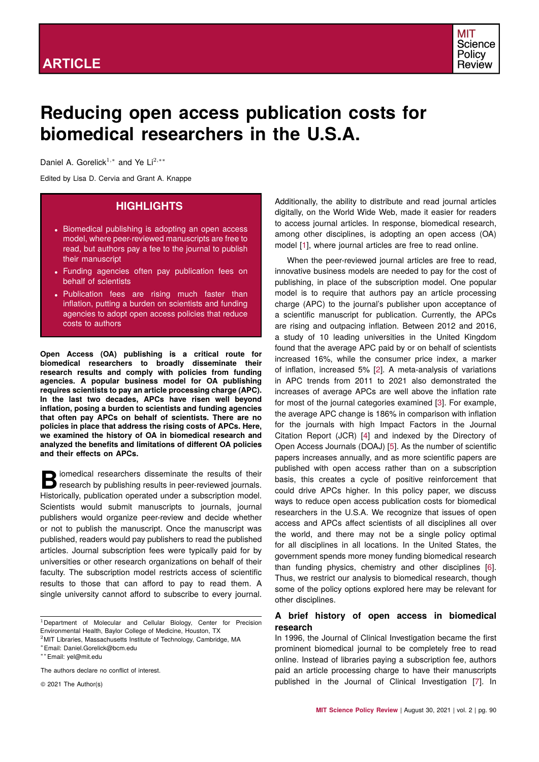

# **Reducing open access publication costs for biomedical researchers in the U.S.A.**

Daniel A. Gorelick<sup>1,\*</sup> and Ye Li<sup>2,\*\*</sup>

Edited by Lisa D. Cervia and Grant A. Knappe

## **HIGHLIGHTS**

- Biomedical publishing is adopting an open access model, where peer-reviewed manuscripts are free to read, but authors pay a fee to the journal to publish their manuscript
- Funding agencies often pay publication fees on behalf of scientists
- Publication fees are rising much faster than inflation, putting a burden on scientists and funding agencies to adopt open access policies that reduce costs to authors

**Open Access (OA) publishing is a critical route for biomedical researchers to broadly disseminate their research results and comply with policies from funding agencies. A popular business model for OA publishing requires scientists to pay an article processing charge (APC). In the last two decades, APCs have risen well beyond inflation, posing a burden to scientists and funding agencies that often pay APCs on behalf of scientists. There are no policies in place that address the rising costs of APCs. Here, we examined the history of OA in biomedical research and analyzed the benefits and limitations of different OA policies and their effects on APCs.**

**B** iomedical researchers disseminate the results of their<br>research by publishing results in peer-reviewed journals. iomedical researchers disseminate the results of their Historically, publication operated under a subscription model. Scientists would submit manuscripts to journals, journal publishers would organize peer-review and decide whether or not to publish the manuscript. Once the manuscript was published, readers would pay publishers to read the published articles. Journal subscription fees were typically paid for by universities or other research organizations on behalf of their faculty. The subscription model restricts access of scientific results to those that can afford to pay to read them. A single university cannot afford to subscribe to every journal.

<sup>1</sup>Department of Molecular and Cellular Biology, Center for Precision Environmental Health, Baylor College of Medicine, Houston, TX

 $2$ MIT Libraries, Massachusetts Institute of Technology, Cambridge, MA

The authors declare no conflict of interest.

© 2021 The Author(s)

Additionally, the ability to distribute and read journal articles digitally, on the World Wide Web, made it easier for readers to access journal articles. In response, biomedical research, among other disciplines, is adopting an open access (OA) model [\[1\]](#page-7-0), where journal articles are free to read online.

When the peer-reviewed journal articles are free to read, innovative business models are needed to pay for the cost of publishing, in place of the subscription model. One popular model is to require that authors pay an article processing charge (APC) to the journal's publisher upon acceptance of a scientific manuscript for publication. Currently, the APCs are rising and outpacing inflation. Between 2012 and 2016, a study of 10 leading universities in the United Kingdom found that the average APC paid by or on behalf of scientists increased 16%, while the consumer price index, a marker of inflation, increased 5% [\[2\]](#page-7-1). A meta-analysis of variations in APC trends from 2011 to 2021 also demonstrated the increases of average APCs are well above the inflation rate for most of the journal categories examined [\[3\]](#page-7-2). For example, the average APC change is 186% in comparison with inflation for the journals with high Impact Factors in the Journal Citation Report (JCR) [\[4\]](#page-7-3) and indexed by the Directory of Open Access Journals (DOAJ) [\[5\]](#page-7-4). As the number of scientific papers increases annually, and as more scientific papers are published with open access rather than on a subscription basis, this creates a cycle of positive reinforcement that could drive APCs higher. In this policy paper, we discuss ways to reduce open access publication costs for biomedical researchers in the U.S.A. We recognize that issues of open access and APCs affect scientists of all disciplines all over the world, and there may not be a single policy optimal for all disciplines in all locations. In the United States, the government spends more money funding biomedical research than funding physics, chemistry and other disciplines [\[6\]](#page-7-5). Thus, we restrict our analysis to biomedical research, though some of the policy options explored here may be relevant for other disciplines.

## **A brief history of open access in biomedical research**

In 1996, the Journal of Clinical Investigation became the first prominent biomedical journal to be completely free to read online. Instead of libraries paying a subscription fee, authors paid an article processing charge to have their manuscripts published in the Journal of Clinical Investigation [\[7\]](#page-7-6). In

<sup>∗</sup>Email: Daniel.Gorelick@bcm.edu

<sup>∗∗</sup>Email: yel@mit.edu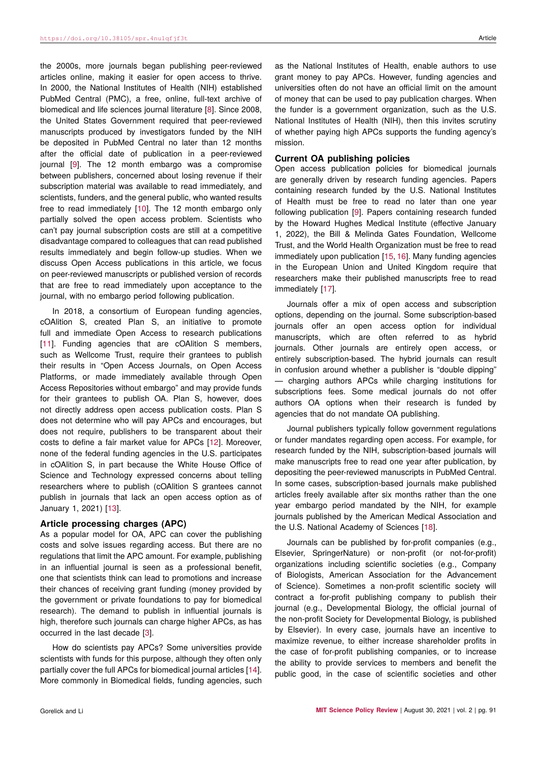the 2000s, more journals began publishing peer-reviewed articles online, making it easier for open access to thrive. In 2000, the National Institutes of Health (NIH) established PubMed Central (PMC), a free, online, full-text archive of biomedical and life sciences journal literature [\[8\]](#page-7-7). Since 2008, the United States Government required that peer-reviewed manuscripts produced by investigators funded by the NIH be deposited in PubMed Central no later than 12 months after the official date of publication in a peer-reviewed journal [\[9\]](#page-7-8). The 12 month embargo was a compromise between publishers, concerned about losing revenue if their subscription material was available to read immediately, and scientists, funders, and the general public, who wanted results free to read immediately [\[10\]](#page-7-9). The 12 month embargo only partially solved the open access problem. Scientists who can't pay journal subscription costs are still at a competitive disadvantage compared to colleagues that can read published results immediately and begin follow-up studies. When we discuss Open Access publications in this article, we focus on peer-reviewed manuscripts or published version of records that are free to read immediately upon acceptance to the journal, with no embargo period following publication.

In 2018, a consortium of European funding agencies, cOAlition S, created Plan S, an initiative to promote full and immediate Open Access to research publications [\[11\]](#page-7-10). Funding agencies that are cOAlition S members, such as Wellcome Trust, require their grantees to publish their results in "Open Access Journals, on Open Access Platforms, or made immediately available through Open Access Repositories without embargo" and may provide funds for their grantees to publish OA. Plan S, however, does not directly address open access publication costs. Plan S does not determine who will pay APCs and encourages, but does not require, publishers to be transparent about their costs to define a fair market value for APCs [\[12\]](#page-7-11). Moreover, none of the federal funding agencies in the U.S. participates in cOAlition S, in part because the White House Office of Science and Technology expressed concerns about telling researchers where to publish (cOAlition S grantees cannot publish in journals that lack an open access option as of January 1, 2021) [\[13\]](#page-7-12).

#### **Article processing charges (APC)**

As a popular model for OA, APC can cover the publishing costs and solve issues regarding access. But there are no regulations that limit the APC amount. For example, publishing in an influential journal is seen as a professional benefit, one that scientists think can lead to promotions and increase their chances of receiving grant funding (money provided by the government or private foundations to pay for biomedical research). The demand to publish in influential journals is high, therefore such journals can charge higher APCs, as has occurred in the last decade [\[3\]](#page-7-2).

How do scientists pay APCs? Some universities provide scientists with funds for this purpose, although they often only partially cover the full APCs for biomedical journal articles [\[14\]](#page-7-13). More commonly in Biomedical fields, funding agencies, such as the National Institutes of Health, enable authors to use grant money to pay APCs. However, funding agencies and universities often do not have an official limit on the amount of money that can be used to pay publication charges. When the funder is a government organization, such as the U.S. National Institutes of Health (NIH), then this invites scrutiny of whether paying high APCs supports the funding agency's mission.

#### **Current OA publishing policies**

Open access publication policies for biomedical journals are generally driven by research funding agencies. Papers containing research funded by the U.S. National Institutes of Health must be free to read no later than one year following publication [\[9\]](#page-7-8). Papers containing research funded by the Howard Hughes Medical Institute (effective January 1, 2022), the Bill & Melinda Gates Foundation, Wellcome Trust, and the World Health Organization must be free to read immediately upon publication [\[15,](#page-8-0) [16\]](#page-8-1). Many funding agencies in the European Union and United Kingdom require that researchers make their published manuscripts free to read immediately [\[17\]](#page-8-2).

Journals offer a mix of open access and subscription options, depending on the journal. Some subscription-based journals offer an open access option for individual manuscripts, which are often referred to as hybrid journals. Other journals are entirely open access, or entirely subscription-based. The hybrid journals can result in confusion around whether a publisher is "double dipping" — charging authors APCs while charging institutions for subscriptions fees. Some medical journals do not offer authors OA options when their research is funded by agencies that do not mandate OA publishing.

Journal publishers typically follow government regulations or funder mandates regarding open access. For example, for research funded by the NIH, subscription-based journals will make manuscripts free to read one year after publication, by depositing the peer-reviewed manuscripts in PubMed Central. In some cases, subscription-based journals make published articles freely available after six months rather than the one year embargo period mandated by the NIH, for example journals published by the American Medical Association and the U.S. National Academy of Sciences [\[18\]](#page-8-3).

Journals can be published by for-profit companies (e.g., Elsevier, SpringerNature) or non-profit (or not-for-profit) organizations including scientific societies (e.g., Company of Biologists, American Association for the Advancement of Science). Sometimes a non-profit scientific society will contract a for-profit publishing company to publish their journal (e.g., Developmental Biology, the official journal of the non-profit Society for Developmental Biology, is published by Elsevier). In every case, journals have an incentive to maximize revenue, to either increase shareholder profits in the case of for-profit publishing companies, or to increase the ability to provide services to members and benefit the public good, in the case of scientific societies and other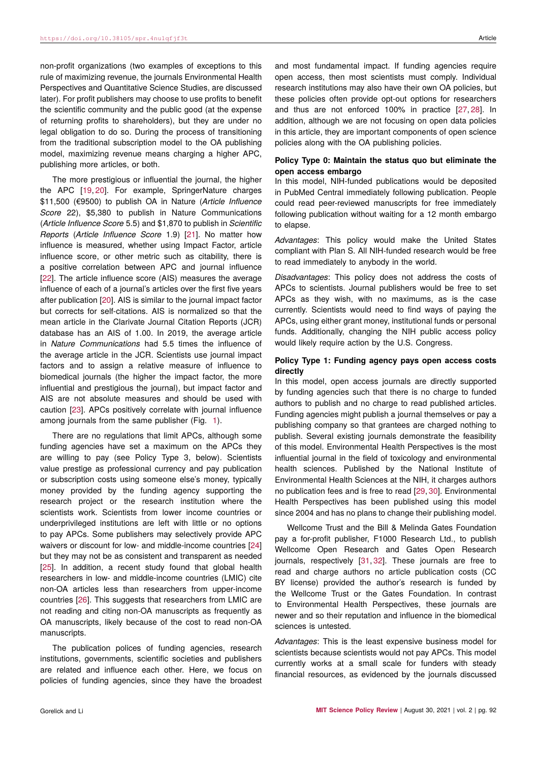non-profit organizations (two examples of exceptions to this rule of maximizing revenue, the journals Environmental Health Perspectives and Quantitative Science Studies, are discussed later). For profit publishers may choose to use profits to benefit the scientific community and the public good (at the expense of returning profits to shareholders), but they are under no legal obligation to do so. During the process of transitioning from the traditional subscription model to the OA publishing model, maximizing revenue means charging a higher APC, publishing more articles, or both.

The more prestigious or influential the journal, the higher the APC [\[19,](#page-8-4) [20\]](#page-8-5). For example, SpringerNature charges \$11,500 (€9500) to publish OA in Nature (*Article Influence Score* 22), \$5,380 to publish in Nature Communications (*Article Influence Score* 5.5) and \$1,870 to publish in *Scientific Reports* (*Article Influence Score* 1.9) [\[21\]](#page-8-6). No matter how influence is measured, whether using Impact Factor, article influence score, or other metric such as citability, there is a positive correlation between APC and journal influence [\[22\]](#page-8-7). The article influence score (AIS) measures the average influence of each of a journal's articles over the first five years after publication [\[20\]](#page-8-5). AIS is similar to the journal impact factor but corrects for self-citations. AIS is normalized so that the mean article in the Clarivate Journal Citation Reports (JCR) database has an AIS of 1.00. In 2019, the average article in *Nature Communications* had 5.5 times the influence of the average article in the JCR. Scientists use journal impact factors and to assign a relative measure of influence to biomedical journals (the higher the impact factor, the more influential and prestigious the journal), but impact factor and AIS are not absolute measures and should be used with caution [\[23\]](#page-8-8). APCs positively correlate with journal influence among journals from the same publisher (Fig. [1\)](#page-4-0).

There are no regulations that limit APCs, although some funding agencies have set a maximum on the APCs they are willing to pay (see Policy Type 3, below). Scientists value prestige as professional currency and pay publication or subscription costs using someone else's money, typically money provided by the funding agency supporting the research project or the research institution where the scientists work. Scientists from lower income countries or underprivileged institutions are left with little or no options to pay APCs. Some publishers may selectively provide APC waivers or discount for low- and middle-income countries [\[24\]](#page-8-9) but they may not be as consistent and transparent as needed [\[25\]](#page-8-10). In addition, a recent study found that global health researchers in low- and middle-income countries (LMIC) cite non-OA articles less than researchers from upper-income countries [\[26\]](#page-8-11). This suggests that researchers from LMIC are not reading and citing non-OA manuscripts as frequently as OA manuscripts, likely because of the cost to read non-OA manuscripts.

The publication polices of funding agencies, research institutions, governments, scientific societies and publishers are related and influence each other. Here, we focus on policies of funding agencies, since they have the broadest and most fundamental impact. If funding agencies require open access, then most scientists must comply. Individual research institutions may also have their own OA policies, but these policies often provide opt-out options for researchers and thus are not enforced 100% in practice [\[27,](#page-8-12) [28\]](#page-8-13). In addition, although we are not focusing on open data policies in this article, they are important components of open science policies along with the OA publishing policies.

#### **Policy Type 0: Maintain the status quo but eliminate the open access embargo**

In this model, NIH-funded publications would be deposited in PubMed Central immediately following publication. People could read peer-reviewed manuscripts for free immediately following publication without waiting for a 12 month embargo to elapse.

*Advantages*: This policy would make the United States compliant with Plan S. All NIH-funded research would be free to read immediately to anybody in the world.

*Disadvantages*: This policy does not address the costs of APCs to scientists. Journal publishers would be free to set APCs as they wish, with no maximums, as is the case currently. Scientists would need to find ways of paying the APCs, using either grant money, institutional funds or personal funds. Additionally, changing the NIH public access policy would likely require action by the U.S. Congress.

#### **Policy Type 1: Funding agency pays open access costs directly**

In this model, open access journals are directly supported by funding agencies such that there is no charge to funded authors to publish and no charge to read published articles. Funding agencies might publish a journal themselves or pay a publishing company so that grantees are charged nothing to publish. Several existing journals demonstrate the feasibility of this model. Environmental Health Perspectives is the most influential journal in the field of toxicology and environmental health sciences. Published by the National Institute of Environmental Health Sciences at the NIH, it charges authors no publication fees and is free to read [\[29,](#page-8-14) [30\]](#page-8-15). Environmental Health Perspectives has been published using this model since 2004 and has no plans to change their publishing model.

Wellcome Trust and the Bill & Melinda Gates Foundation pay a for-profit publisher, F1000 Research Ltd., to publish Wellcome Open Research and Gates Open Research journals, respectively [\[31,](#page-8-16) [32\]](#page-8-17). These journals are free to read and charge authors no article publication costs (CC BY license) provided the author's research is funded by the Wellcome Trust or the Gates Foundation. In contrast to Environmental Health Perspectives, these journals are newer and so their reputation and influence in the biomedical sciences is untested.

*Advantages*: This is the least expensive business model for scientists because scientists would not pay APCs. This model currently works at a small scale for funders with steady financial resources, as evidenced by the journals discussed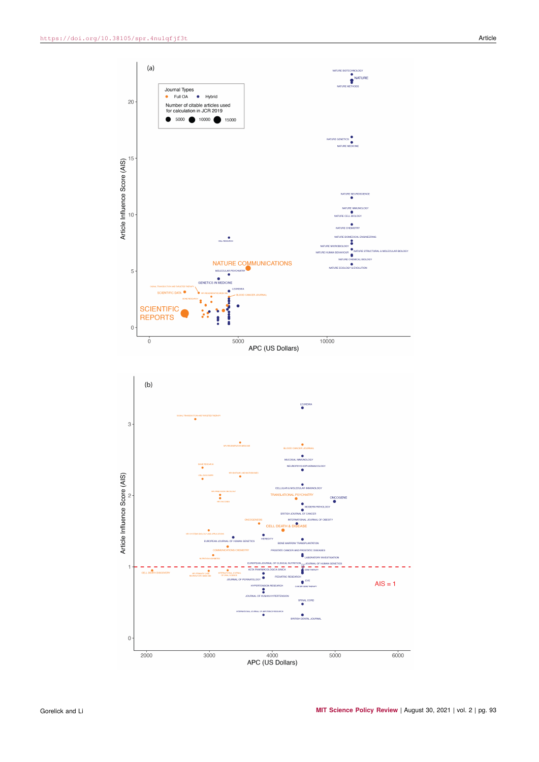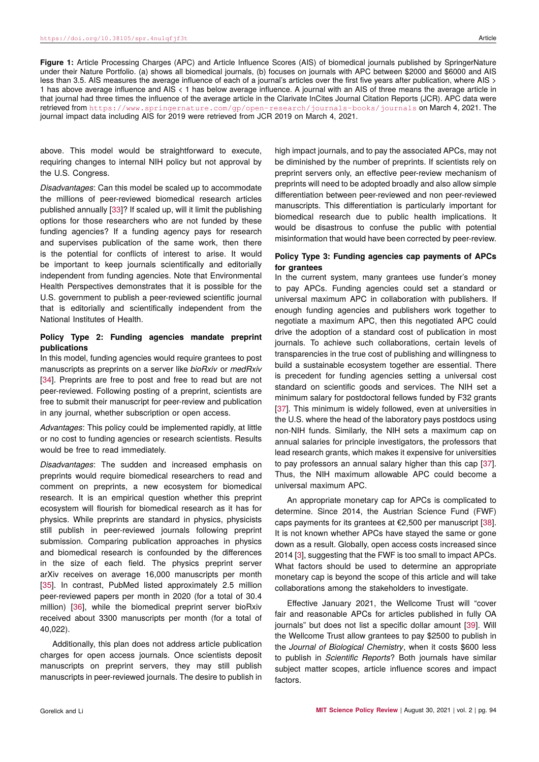<span id="page-4-0"></span>**Figure 1:** Article Processing Charges (APC) and Article Influence Scores (AIS) of biomedical journals published by SpringerNature under their Nature Portfolio. (a) shows all biomedical journals, (b) focuses on journals with APC between \$2000 and \$6000 and AIS less than 3.5. AIS measures the average influence of each of a journal's articles over the first five years after publication, where AIS > 1 has above average influence and AIS < 1 has below average influence. A journal with an AIS of three means the average article in that journal had three times the influence of the average article in the Clarivate InCites Journal Citation Reports (JCR). APC data were retrieved from <https://www.springernature.com/gp/open-research/journals-books/journals> on March 4, 2021. The journal impact data including AIS for 2019 were retrieved from JCR 2019 on March 4, 2021.

above. This model would be straightforward to execute, requiring changes to internal NIH policy but not approval by the U.S. Congress.

*Disadvantages*: Can this model be scaled up to accommodate the millions of peer-reviewed biomedical research articles published annually [\[33\]](#page-8-18)? If scaled up, will it limit the publishing options for those researchers who are not funded by these funding agencies? If a funding agency pays for research and supervises publication of the same work, then there is the potential for conflicts of interest to arise. It would be important to keep journals scientifically and editorially independent from funding agencies. Note that Environmental Health Perspectives demonstrates that it is possible for the U.S. government to publish a peer-reviewed scientific journal that is editorially and scientifically independent from the National Institutes of Health.

## **Policy Type 2: Funding agencies mandate preprint publications**

In this model, funding agencies would require grantees to post manuscripts as preprints on a server like *bioRxiv* or *medRxiv* [\[34\]](#page-8-19). Preprints are free to post and free to read but are not peer-reviewed. Following posting of a preprint, scientists are free to submit their manuscript for peer-review and publication in any journal, whether subscription or open access.

*Advantages*: This policy could be implemented rapidly, at little or no cost to funding agencies or research scientists. Results would be free to read immediately.

*Disadvantages*: The sudden and increased emphasis on preprints would require biomedical researchers to read and comment on preprints, a new ecosystem for biomedical research. It is an empirical question whether this preprint ecosystem will flourish for biomedical research as it has for physics. While preprints are standard in physics, physicists still publish in peer-reviewed journals following preprint submission. Comparing publication approaches in physics and biomedical research is confounded by the differences in the size of each field. The physics preprint server arXiv receives on average 16,000 manuscripts per month [\[35\]](#page-8-20). In contrast, PubMed listed approximately 2.5 million peer-reviewed papers per month in 2020 (for a total of 30.4 million) [\[36\]](#page-8-21), while the biomedical preprint server bioRxiv received about 3300 manuscripts per month (for a total of 40,022).

Additionally, this plan does not address article publication charges for open access journals. Once scientists deposit manuscripts on preprint servers, they may still publish manuscripts in peer-reviewed journals. The desire to publish in

high impact journals, and to pay the associated APCs, may not be diminished by the number of preprints. If scientists rely on preprint servers only, an effective peer-review mechanism of preprints will need to be adopted broadly and also allow simple differentiation between peer-reviewed and non peer-reviewed manuscripts. This differentiation is particularly important for biomedical research due to public health implications. It would be disastrous to confuse the public with potential misinformation that would have been corrected by peer-review.

### **Policy Type 3: Funding agencies cap payments of APCs for grantees**

In the current system, many grantees use funder's money to pay APCs. Funding agencies could set a standard or universal maximum APC in collaboration with publishers. If enough funding agencies and publishers work together to negotiate a maximum APC, then this negotiated APC could drive the adoption of a standard cost of publication in most journals. To achieve such collaborations, certain levels of transparencies in the true cost of publishing and willingness to build a sustainable ecosystem together are essential. There is precedent for funding agencies setting a universal cost standard on scientific goods and services. The NIH set a minimum salary for postdoctoral fellows funded by F32 grants [\[37\]](#page-8-22). This minimum is widely followed, even at universities in the U.S. where the head of the laboratory pays postdocs using non-NIH funds. Similarly, the NIH sets a maximum cap on annual salaries for principle investigators, the professors that lead research grants, which makes it expensive for universities to pay professors an annual salary higher than this cap [\[37\]](#page-8-22). Thus, the NIH maximum allowable APC could become a universal maximum APC.

An appropriate monetary cap for APCs is complicated to determine. Since 2014, the Austrian Science Fund (FWF) caps payments for its grantees at €2,500 per manuscript [\[38\]](#page-8-23). It is not known whether APCs have stayed the same or gone down as a result. Globally, open access costs increased since 2014 [\[3\]](#page-7-2), suggesting that the FWF is too small to impact APCs. What factors should be used to determine an appropriate monetary cap is beyond the scope of this article and will take collaborations among the stakeholders to investigate.

Effective January 2021, the Wellcome Trust will "cover fair and reasonable APCs for articles published in fully OA journals" but does not list a specific dollar amount [\[39\]](#page-8-24). Will the Wellcome Trust allow grantees to pay \$2500 to publish in the *Journal of Biological Chemistry*, when it costs \$600 less to publish in *Scientific Reports*? Both journals have similar subject matter scopes, article influence scores and impact factors.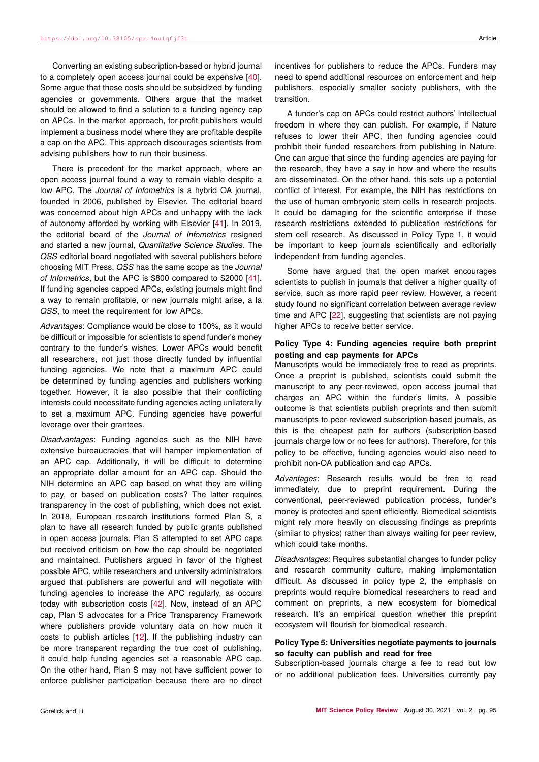Converting an existing subscription-based or hybrid journal to a completely open access journal could be expensive [\[40\]](#page-8-25). Some argue that these costs should be subsidized by funding agencies or governments. Others argue that the market should be allowed to find a solution to a funding agency cap on APCs. In the market approach, for-profit publishers would implement a business model where they are profitable despite a cap on the APC. This approach discourages scientists from advising publishers how to run their business.

There is precedent for the market approach, where an open access journal found a way to remain viable despite a low APC. The *Journal of Infometrics* is a hybrid OA journal, founded in 2006, published by Elsevier. The editorial board was concerned about high APCs and unhappy with the lack of autonomy afforded by working with Elsevier [\[41\]](#page-8-26). In 2019, the editorial board of the *Journal of Infometrics* resigned and started a new journal, *Quantitative Science Studies*. The *QSS* editorial board negotiated with several publishers before choosing MIT Press. *QSS* has the same scope as the *Journal of Infometrics*, but the APC is \$800 compared to \$2000 [\[41\]](#page-8-26). If funding agencies capped APCs, existing journals might find a way to remain profitable, or new journals might arise, a la *QSS*, to meet the requirement for low APCs.

*Advantages*: Compliance would be close to 100%, as it would be difficult or impossible for scientists to spend funder's money contrary to the funder's wishes. Lower APCs would benefit all researchers, not just those directly funded by influential funding agencies. We note that a maximum APC could be determined by funding agencies and publishers working together. However, it is also possible that their conflicting interests could necessitate funding agencies acting unilaterally to set a maximum APC. Funding agencies have powerful leverage over their grantees.

*Disadvantages*: Funding agencies such as the NIH have extensive bureaucracies that will hamper implementation of an APC cap. Additionally, it will be difficult to determine an appropriate dollar amount for an APC cap. Should the NIH determine an APC cap based on what they are willing to pay, or based on publication costs? The latter requires transparency in the cost of publishing, which does not exist. In 2018, European research institutions formed Plan S, a plan to have all research funded by public grants published in open access journals. Plan S attempted to set APC caps but received criticism on how the cap should be negotiated and maintained. Publishers argued in favor of the highest possible APC, while researchers and university administrators argued that publishers are powerful and will negotiate with funding agencies to increase the APC regularly, as occurs today with subscription costs [\[42\]](#page-8-27). Now, instead of an APC cap, Plan S advocates for a Price Transparency Framework where publishers provide voluntary data on how much it costs to publish articles [\[12\]](#page-7-11). If the publishing industry can be more transparent regarding the true cost of publishing, it could help funding agencies set a reasonable APC cap. On the other hand, Plan S may not have sufficient power to enforce publisher participation because there are no direct incentives for publishers to reduce the APCs. Funders may need to spend additional resources on enforcement and help publishers, especially smaller society publishers, with the transition.

A funder's cap on APCs could restrict authors' intellectual freedom in where they can publish. For example, if Nature refuses to lower their APC, then funding agencies could prohibit their funded researchers from publishing in Nature. One can argue that since the funding agencies are paying for the research, they have a say in how and where the results are disseminated. On the other hand, this sets up a potential conflict of interest. For example, the NIH has restrictions on the use of human embryonic stem cells in research projects. It could be damaging for the scientific enterprise if these research restrictions extended to publication restrictions for stem cell research. As discussed in Policy Type 1, it would be important to keep journals scientifically and editorially independent from funding agencies.

Some have argued that the open market encourages scientists to publish in journals that deliver a higher quality of service, such as more rapid peer review. However, a recent study found no significant correlation between average review time and APC [\[22\]](#page-8-7), suggesting that scientists are not paying higher APCs to receive better service.

#### **Policy Type 4: Funding agencies require both preprint posting and cap payments for APCs**

Manuscripts would be immediately free to read as preprints. Once a preprint is published, scientists could submit the manuscript to any peer-reviewed, open access journal that charges an APC within the funder's limits. A possible outcome is that scientists publish preprints and then submit manuscripts to peer-reviewed subscription-based journals, as this is the cheapest path for authors (subscription-based journals charge low or no fees for authors). Therefore, for this policy to be effective, funding agencies would also need to prohibit non-OA publication and cap APCs.

*Advantages*: Research results would be free to read immediately, due to preprint requirement. During the conventional, peer-reviewed publication process, funder's money is protected and spent efficiently. Biomedical scientists might rely more heavily on discussing findings as preprints (similar to physics) rather than always waiting for peer review, which could take months.

*Disadvantages*: Requires substantial changes to funder policy and research community culture, making implementation difficult. As discussed in policy type 2, the emphasis on preprints would require biomedical researchers to read and comment on preprints, a new ecosystem for biomedical research. It's an empirical question whether this preprint ecosystem will flourish for biomedical research.

### **Policy Type 5: Universities negotiate payments to journals so faculty can publish and read for free**

Subscription-based journals charge a fee to read but low or no additional publication fees. Universities currently pay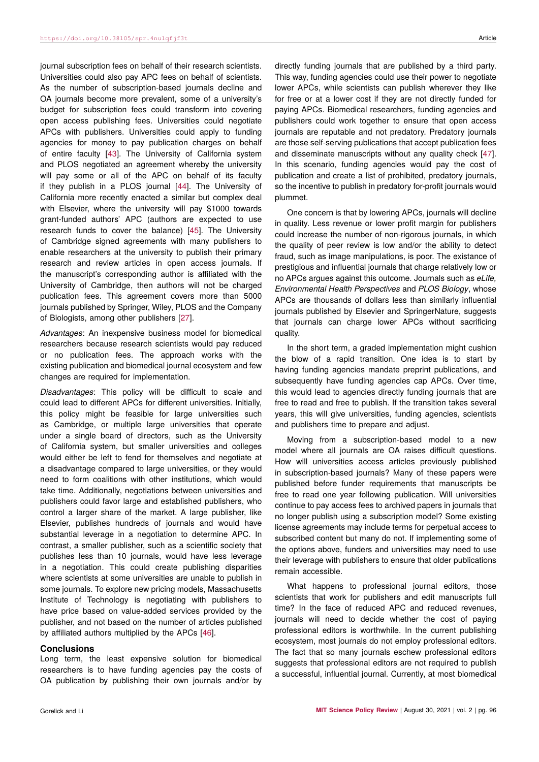journal subscription fees on behalf of their research scientists. Universities could also pay APC fees on behalf of scientists. As the number of subscription-based journals decline and OA journals become more prevalent, some of a university's budget for subscription fees could transform into covering open access publishing fees. Universities could negotiate APCs with publishers. Universities could apply to funding agencies for money to pay publication charges on behalf of entire faculty [\[43\]](#page-8-28). The University of California system and PLOS negotiated an agreement whereby the university will pay some or all of the APC on behalf of its faculty if they publish in a PLOS journal [\[44\]](#page-8-29). The University of California more recently enacted a similar but complex deal with Elsevier, where the university will pay \$1000 towards grant-funded authors' APC (authors are expected to use research funds to cover the balance) [\[45\]](#page-8-30). The University of Cambridge signed agreements with many publishers to enable researchers at the university to publish their primary research and review articles in open access journals. If the manuscript's corresponding author is affiliated with the University of Cambridge, then authors will not be charged publication fees. This agreement covers more than 5000 journals published by Springer, Wiley, PLOS and the Company of Biologists, among other publishers [\[27\]](#page-8-12).

*Advantages*: An inexpensive business model for biomedical researchers because research scientists would pay reduced or no publication fees. The approach works with the existing publication and biomedical journal ecosystem and few changes are required for implementation.

*Disadvantages*: This policy will be difficult to scale and could lead to different APCs for different universities. Initially, this policy might be feasible for large universities such as Cambridge, or multiple large universities that operate under a single board of directors, such as the University of California system, but smaller universities and colleges would either be left to fend for themselves and negotiate at a disadvantage compared to large universities, or they would need to form coalitions with other institutions, which would take time. Additionally, negotiations between universities and publishers could favor large and established publishers, who control a larger share of the market. A large publisher, like Elsevier, publishes hundreds of journals and would have substantial leverage in a negotiation to determine APC. In contrast, a smaller publisher, such as a scientific society that publishes less than 10 journals, would have less leverage in a negotiation. This could create publishing disparities where scientists at some universities are unable to publish in some journals. To explore new pricing models, Massachusetts Institute of Technology is negotiating with publishers to have price based on value-added services provided by the publisher, and not based on the number of articles published by affiliated authors multiplied by the APCs [\[46\]](#page-8-31).

#### **Conclusions**

Long term, the least expensive solution for biomedical researchers is to have funding agencies pay the costs of OA publication by publishing their own journals and/or by directly funding journals that are published by a third party. This way, funding agencies could use their power to negotiate lower APCs, while scientists can publish wherever they like for free or at a lower cost if they are not directly funded for paying APCs. Biomedical researchers, funding agencies and publishers could work together to ensure that open access journals are reputable and not predatory. Predatory journals are those self-serving publications that accept publication fees and disseminate manuscripts without any quality check [\[47\]](#page-8-32). In this scenario, funding agencies would pay the cost of publication and create a list of prohibited, predatory journals, so the incentive to publish in predatory for-profit journals would plummet.

One concern is that by lowering APCs, journals will decline in quality. Less revenue or lower profit margin for publishers could increase the number of non-rigorous journals, in which the quality of peer review is low and/or the ability to detect fraud, such as image manipulations, is poor. The existance of prestigious and influential journals that charge relatively low or no APCs argues against this outcome. Journals such as *eLife, Environmental Health Perspectives* and *PLOS Biology*, whose APCs are thousands of dollars less than similarly influential journals published by Elsevier and SpringerNature, suggests that journals can charge lower APCs without sacrificing quality.

In the short term, a graded implementation might cushion the blow of a rapid transition. One idea is to start by having funding agencies mandate preprint publications, and subsequently have funding agencies cap APCs. Over time, this would lead to agencies directly funding journals that are free to read and free to publish. If the transition takes several years, this will give universities, funding agencies, scientists and publishers time to prepare and adjust.

Moving from a subscription-based model to a new model where all journals are OA raises difficult questions. How will universities access articles previously published in subscription-based journals? Many of these papers were published before funder requirements that manuscripts be free to read one year following publication. Will universities continue to pay access fees to archived papers in journals that no longer publish using a subscription model? Some existing license agreements may include terms for perpetual access to subscribed content but many do not. If implementing some of the options above, funders and universities may need to use their leverage with publishers to ensure that older publications remain accessible.

What happens to professional journal editors, those scientists that work for publishers and edit manuscripts full time? In the face of reduced APC and reduced revenues, journals will need to decide whether the cost of paying professional editors is worthwhile. In the current publishing ecosystem, most journals do not employ professional editors. The fact that so many journals eschew professional editors suggests that professional editors are not required to publish a successful, influential journal. Currently, at most biomedical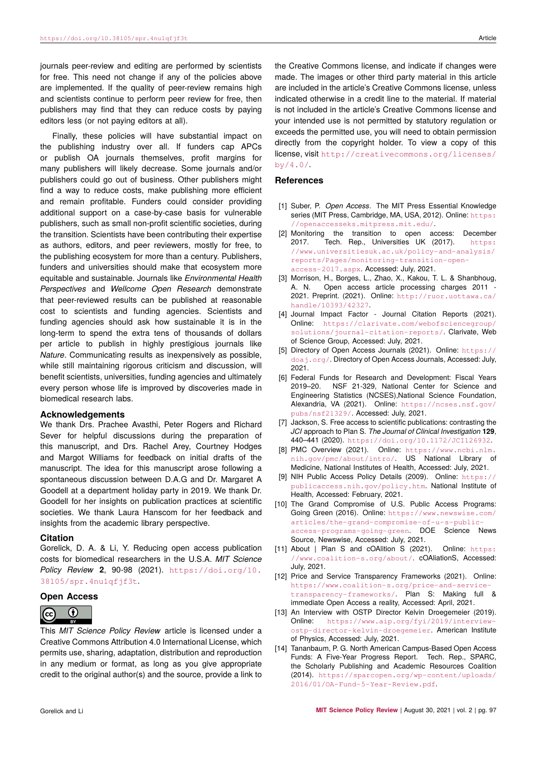journals peer-review and editing are performed by scientists for free. This need not change if any of the policies above are implemented. If the quality of peer-review remains high and scientists continue to perform peer review for free, then publishers may find that they can reduce costs by paying editors less (or not paying editors at all).

Finally, these policies will have substantial impact on the publishing industry over all. If funders cap APCs or publish OA journals themselves, profit margins for many publishers will likely decrease. Some journals and/or publishers could go out of business. Other publishers might find a way to reduce costs, make publishing more efficient and remain profitable. Funders could consider providing additional support on a case-by-case basis for vulnerable publishers, such as small non-profit scientific societies, during the transition. Scientists have been contributing their expertise as authors, editors, and peer reviewers, mostly for free, to the publishing ecosystem for more than a century. Publishers, funders and universities should make that ecosystem more equitable and sustainable. Journals like *Environmental Health Perspectives* and *Wellcome Open Research* demonstrate that peer-reviewed results can be published at reasonable cost to scientists and funding agencies. Scientists and funding agencies should ask how sustainable it is in the long-term to spend the extra tens of thousands of dollars per article to publish in highly prestigious journals like *Nature*. Communicating results as inexpensively as possible, while still maintaining rigorous criticism and discussion, will benefit scientists, universities, funding agencies and ultimately every person whose life is improved by discoveries made in biomedical research labs.

### **Acknowledgements**

We thank Drs. Prachee Avasthi, Peter Rogers and Richard Sever for helpful discussions during the preparation of this manuscript, and Drs. Rachel Arey, Courtney Hodges and Margot Williams for feedback on initial drafts of the manuscript. The idea for this manuscript arose following a spontaneous discussion between D.A.G and Dr. Margaret A Goodell at a department holiday party in 2019. We thank Dr. Goodell for her insights on publication practices at scientific societies. We thank Laura Hanscom for her feedback and insights from the academic library perspective.

#### **Citation**

Gorelick, D. A. & Li, Y. Reducing open access publication costs for biomedical researchers in the U.S.A. *MIT Science Policy Review* **2**, 90-98 (2021). [https://doi.org/10.](https://doi.org/10.38105/spr.4nu1qfjf3t) [38105/spr.4nu1qfjf3t](https://doi.org/10.38105/spr.4nu1qfjf3t).

#### **Open Access**



This *MIT Science Policy Review* article is licensed under a Creative Commons Attribution 4.0 International License, which permits use, sharing, adaptation, distribution and reproduction in any medium or format, as long as you give appropriate credit to the original author(s) and the source, provide a link to

the Creative Commons license, and indicate if changes were made. The images or other third party material in this article are included in the article's Creative Commons license, unless indicated otherwise in a credit line to the material. If material is not included in the article's Creative Commons license and your intended use is not permitted by statutory regulation or exceeds the permitted use, you will need to obtain permission directly from the copyright holder. To view a copy of this license, visit [http://creativecommons.org/licenses/](http://creativecommons.org/licenses/by/4.0/) [by/4.0/](http://creativecommons.org/licenses/by/4.0/).

#### **References**

- <span id="page-7-0"></span>[1] Suber, P. *Open Access*. The MIT Press Essential Knowledge series (MIT Press, Cambridge, MA, USA, 2012). Online: [https:](https://openaccesseks.mitpress.mit.edu/) [//openaccesseks.mitpress.mit.edu/](https://openaccesseks.mitpress.mit.edu/).
- <span id="page-7-1"></span>[2] Monitoring the transition to open access: December 2017. Tech. Rep., Universities UK (2017). [https:](https://www.universitiesuk.ac.uk/policy-and-analysis/reports/Pages/monitoring-transition-open-access-2017.aspx) [//www.universitiesuk.ac.uk/policy-and-analysis/](https://www.universitiesuk.ac.uk/policy-and-analysis/reports/Pages/monitoring-transition-open-access-2017.aspx) [reports/Pages/monitoring-transition-open](https://www.universitiesuk.ac.uk/policy-and-analysis/reports/Pages/monitoring-transition-open-access-2017.aspx)[access-2017.aspx](https://www.universitiesuk.ac.uk/policy-and-analysis/reports/Pages/monitoring-transition-open-access-2017.aspx). Accessed: July, 2021.
- <span id="page-7-2"></span>[3] Morrison, H., Borges, L., Zhao, X., Kakou, T. L. & Shanbhoug, A. N. Open access article processing charges 2011 - 2021. Preprint. (2021). Online: [http://ruor.uottawa.ca/](http://ruor.uottawa.ca/handle/10393/42327) [handle/10393/42327](http://ruor.uottawa.ca/handle/10393/42327).
- <span id="page-7-3"></span>[4] Journal Impact Factor - Journal Citation Reports (2021). Online: [https://clarivate.com/webofsciencegroup/](https://clarivate.com/webofsciencegroup/solutions/journal-citation-reports/) [solutions/journal-citation-reports/](https://clarivate.com/webofsciencegroup/solutions/journal-citation-reports/). Clarivate, Web of Science Group, Accessed: July, 2021.
- <span id="page-7-4"></span>[5] Directory of Open Access Journals (2021). Online: [https://](https://doaj.org/) [doaj.org/](https://doaj.org/). Directory of Open Access Journals, Accessed: July, 2021.
- <span id="page-7-5"></span>[6] Federal Funds for Research and Development: Fiscal Years 2019–20. NSF 21-329, National Center for Science and Engineering Statistics (NCSES),National Science Foundation, Alexandria, VA (2021). Online: [https://ncses.nsf.gov/](https://ncses.nsf.gov/pubs/nsf21329/) [pubs/nsf21329/](https://ncses.nsf.gov/pubs/nsf21329/). Accessed: July, 2021.
- <span id="page-7-6"></span>[7] Jackson, S. Free access to scientific publications: contrasting the *JCI* approach to Plan S. *The Journal of Clinical Investigation* **129**, 440–441 (2020). <https://doi.org/10.1172/JCI126932>.
- <span id="page-7-7"></span>[8] PMC Overview (2021). Online: [https://www.ncbi.nlm.](https://www.ncbi.nlm.nih.gov/pmc/about/intro/) [nih.gov/pmc/about/intro/](https://www.ncbi.nlm.nih.gov/pmc/about/intro/). US National Library of Medicine, National Institutes of Health, Accessed: July, 2021.
- <span id="page-7-8"></span>[9] NIH Public Access Policy Details (2009). Online: [https://](https://publicaccess.nih.gov/policy.htm) [publicaccess.nih.gov/policy.htm](https://publicaccess.nih.gov/policy.htm). National Institute of Health, Accessed: February, 2021.
- <span id="page-7-9"></span>[10] The Grand Compromise of U.S. Public Access Programs: Going Green (2016). Online: [https://www.newswise.com/](https://www.newswise.com/articles/the-grand-compromise-of-u-s-public-access-programs-going-green) [articles/the-grand-compromise-of-u-s-public](https://www.newswise.com/articles/the-grand-compromise-of-u-s-public-access-programs-going-green)[access-programs-going-green](https://www.newswise.com/articles/the-grand-compromise-of-u-s-public-access-programs-going-green). DOE Science News Source, Newswise, Accessed: July, 2021.
- <span id="page-7-10"></span>[11] About | Plan S and cOAlition S (2021). Online: [https:](https://www.coalition-s.org/about/) [//www.coalition-s.org/about/](https://www.coalition-s.org/about/). cOAliationS, Accessed: July, 2021.
- <span id="page-7-11"></span>[12] Price and Service Transparency Frameworks (2021). Online: [https://www.coalition-s.org/price-and-service](https://www.coalition-s.org/price-and-service-transparency-frameworks/)[transparency-frameworks/](https://www.coalition-s.org/price-and-service-transparency-frameworks/). Plan S: Making full & immediate Open Access a reality, Accessed: April, 2021.
- <span id="page-7-12"></span>[13] An Interview with OSTP Director Kelvin Droegemeier (2019). Online: [https://www.aip.org/fyi/2019/interview](https://www.aip.org/fyi/2019/interview-ostp-director-kelvin-droegemeier)[ostp-director-kelvin-droegemeier](https://www.aip.org/fyi/2019/interview-ostp-director-kelvin-droegemeier). American Institute of Physics, Accessed: July, 2021.
- <span id="page-7-13"></span>[14] Tananbaum, P. G. North American Campus-Based Open Access Funds: A Five-Year Progress Report. Tech. Rep., SPARC, the Scholarly Publishing and Academic Resources Coalition (2014). [https://sparcopen.org/wp-content/uploads/](https://sparcopen.org/wp-content/uploads/2016/01/OA-Fund-5-Year-Review.pdf) [2016/01/OA-Fund-5-Year-Review.pdf](https://sparcopen.org/wp-content/uploads/2016/01/OA-Fund-5-Year-Review.pdf).